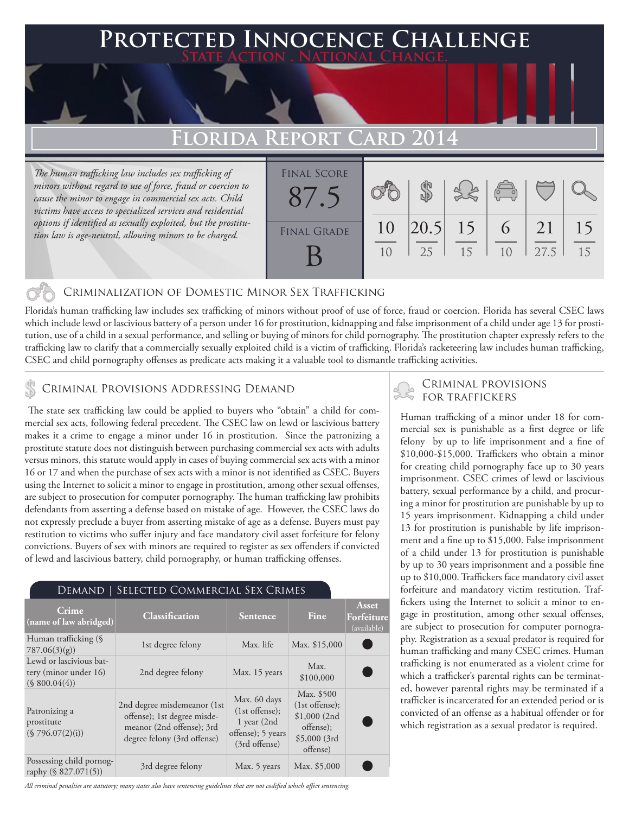## **FD INNOCENCE CHALLENGE State Action . National Change.**

## **Florida Report Card 2014**

*The human trafficking law includes sex trafficking of minors without regard to use of force, fraud or coercion to cause the minor to engage in commercial sex acts. Child victims have access to specialized services and residential options if identified as sexually exploited, but the prostitution law is age-neutral, allowing minors to be charged.*

| <b>FINAL SCORE</b> |          |                   |    | $\overline{(\overline{C})}$ |            |          |
|--------------------|----------|-------------------|----|-----------------------------|------------|----------|
| <b>FINAL GRADE</b> | 10<br>10 | $ 20.5 $ 15<br>25 | 15 | $-6$<br>10                  | 21<br>27.5 | 15<br>15 |

#### Criminalization of Domestic Minor Sex Trafficking

Florida's human trafficking law includes sex trafficking of minors without proof of use of force, fraud or coercion. Florida has several CSEC laws which include lewd or lascivious battery of a person under 16 for prostitution, kidnapping and false imprisonment of a child under age 13 for prostitution, use of a child in a sexual performance, and selling or buying of minors for child pornography. The prostitution chapter expressly refers to the trafficking law to clarify that a commercially sexually exploited child is a victim of trafficking. Florida's racketeering law includes human trafficking, CSEC and child pornography offenses as predicate acts making it a valuable tool to dismantle trafficking activities.

## CRIMINAL PROVISIONS ADDRESSING DEMAND **FOR TRAFFICKERS**

 The state sex trafficking law could be applied to buyers who "obtain" a child for commercial sex acts, following federal precedent. The CSEC law on lewd or lascivious battery makes it a crime to engage a minor under 16 in prostitution. Since the patronizing a prostitute statute does not distinguish between purchasing commercial sex acts with adults versus minors, this statute would apply in cases of buying commercial sex acts with a minor 16 or 17 and when the purchase of sex acts with a minor is not identified as CSEC. Buyers using the Internet to solicit a minor to engage in prostitution, among other sexual offenses, are subject to prosecution for computer pornography. The human trafficking law prohibits defendants from asserting a defense based on mistake of age. However, the CSEC laws do not expressly preclude a buyer from asserting mistake of age as a defense. Buyers must pay restitution to victims who suffer injury and face mandatory civil asset forfeiture for felony convictions. Buyers of sex with minors are required to register as sex offenders if convicted of lewd and lascivious battery, child pornography, or human trafficking offenses.

#### Demand | Selected Commercial Sex Crimes

| Crime<br>(name of law abridged)                                   | <b>Classification</b>                                                                                                  | Sentence                                                                               | Fine                                                                                    | Asset<br>Forfeiture<br>(available) |
|-------------------------------------------------------------------|------------------------------------------------------------------------------------------------------------------------|----------------------------------------------------------------------------------------|-----------------------------------------------------------------------------------------|------------------------------------|
| Human trafficking (§<br>787.06(3)(g)                              | 1st degree felony                                                                                                      | Max. life                                                                              | Max. \$15,000                                                                           |                                    |
| Lewd or lascivious bat-<br>tery (minor under 16)<br>(S 800.04(4)) | 2nd degree felony                                                                                                      | Max. 15 years                                                                          | Max.<br>\$100,000                                                                       |                                    |
| Patronizing a<br>prostitute<br>(\$796.07(2)(i))                   | 2nd degree misdemeanor (1st<br>offense); 1st degree misde-<br>meanor (2nd offense); 3rd<br>degree felony (3rd offense) | Max. 60 days<br>$(1st$ offense);<br>1 year (2nd)<br>offense); 5 years<br>(3rd offense) | Max. \$500<br>$(1st$ offense);<br>\$1,000(2nd)<br>offense);<br>\$5,000(3rd)<br>offense) |                                    |
| Possessing child pornog-<br>raphy (§ 827.071(5))                  | 3rd degree felony                                                                                                      | Max. 5 years                                                                           | Max. \$5,000                                                                            |                                    |

*All criminal penalties are statutory; many states also have sentencing guidelines that are not codified which affect sentencing.* 

# Criminal provisions

Human trafficking of a minor under 18 for commercial sex is punishable as a first degree or life felony by up to life imprisonment and a fine of \$10,000-\$15,000. Traffickers who obtain a minor for creating child pornography face up to 30 years imprisonment. CSEC crimes of lewd or lascivious battery, sexual performance by a child, and procuring a minor for prostitution are punishable by up to 15 years imprisonment. Kidnapping a child under 13 for prostitution is punishable by life imprisonment and a fine up to \$15,000. False imprisonment of a child under 13 for prostitution is punishable by up to 30 years imprisonment and a possible fine up to \$10,000. Traffickers face mandatory civil asset forfeiture and mandatory victim restitution. Traffickers using the Internet to solicit a minor to engage in prostitution, among other sexual offenses, are subject to prosecution for computer pornography. Registration as a sexual predator is required for human trafficking and many CSEC crimes. Human trafficking is not enumerated as a violent crime for which a trafficker's parental rights can be terminated, however parental rights may be terminated if a trafficker is incarcerated for an extended period or is convicted of an offense as a habitual offender or for which registration as a sexual predator is required.